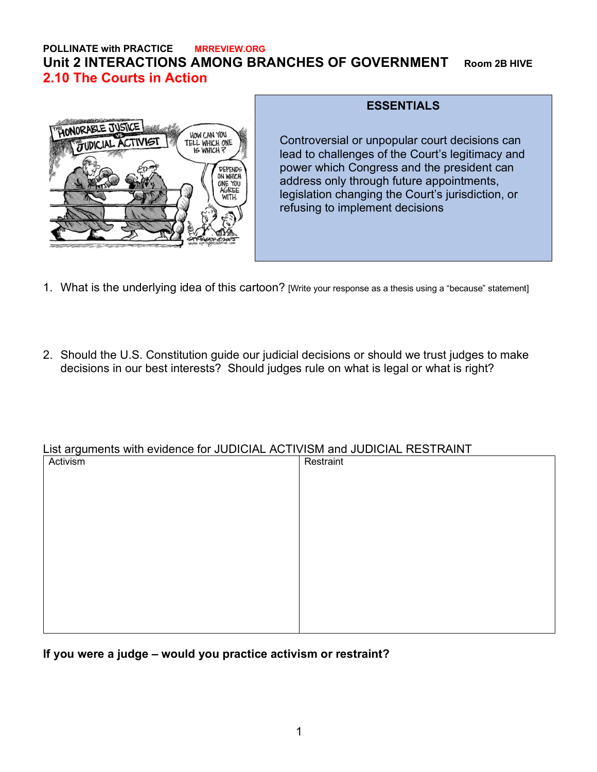# **POLLINATE with PRACTICE MRREVIEW.ORG Unit 2 INTERACTIONS AMONG BRANCHES OF GOVERNMENT Room 2B HIVE 2.10 The Courts in Action**



### **ESSENTIALS**

Controversial or unpopular court decisions can lead to challenges of the Court's legitimacy and power which Congress and the president can address only through future appointments, legislation changing the Court's jurisdiction, or refusing to implement decisions

- 1. What is the underlying idea of this cartoon? [Write your response as a thesis using a "because" statement]
- 2. Should the U.S. Constitution guide our judicial decisions or should we trust judges to make decisions in our best interests? Should judges rule on what is legal or what is right?

## List arguments with evidence for JUDICIAL ACTIVISM and JUDICIAL RESTRAINT

| Activism | Restraint |
|----------|-----------|
|          |           |
|          |           |
|          |           |
|          |           |
|          |           |
|          |           |
|          |           |
|          |           |
|          |           |
|          |           |
|          |           |
|          |           |

**If you were a judge – would you practice activism or restraint?**